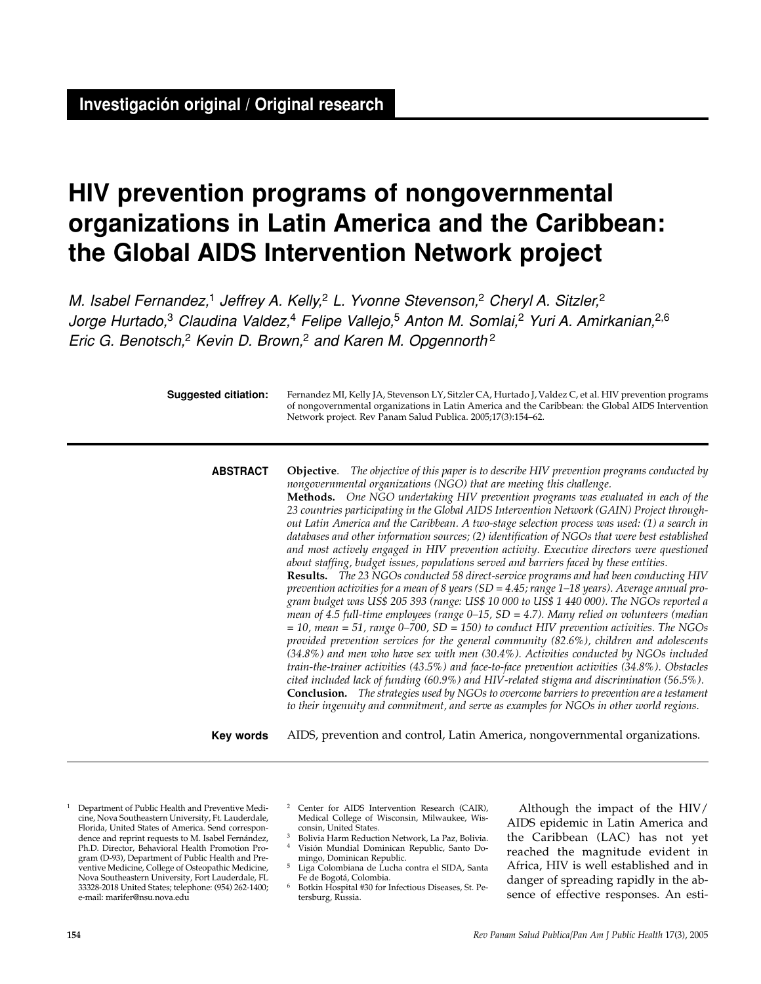# **HIV prevention programs of nongovernmental organizations in Latin America and the Caribbean: the Global AIDS Intervention Network project**

M. Isabel Fernandez,<sup>1</sup> Jeffrey A. Kelly,<sup>2</sup> L. Yvonne Stevenson,<sup>2</sup> Cheryl A. Sitzler,<sup>2</sup> Jorge Hurtado,<sup>3</sup> Claudina Valdez,<sup>4</sup> Felipe Vallejo,<sup>5</sup> Anton M. Somlai,<sup>2</sup> Yuri A. Amirkanian,<sup>2,6</sup> Eric G. Benotsch,<sup>2</sup> Kevin D. Brown,<sup>2</sup> and Karen M. Opgennorth<sup>2</sup>

**Suggested citiation:**

Fernandez MI, Kelly JA, Stevenson LY, Sitzler CA, Hurtado J, Valdez C, et al. HIV prevention programs of nongovernmental organizations in Latin America and the Caribbean: the Global AIDS Intervention Network project. Rev Panam Salud Publica. 2005;17(3):154–62.

**ABSTRACT**

**Objective**. *The objective of this paper is to describe HIV prevention programs conducted by nongovernmental organizations (NGO) that are meeting this challenge.* **Methods.** *One NGO undertaking HIV prevention programs was evaluated in each of the 23 countries participating in the Global AIDS Intervention Network (GAIN) Project throughout Latin America and the Caribbean. A two-stage selection process was used: (1) a search in databases and other information sources; (2) identification of NGOs that were best established and most actively engaged in HIV prevention activity. Executive directors were questioned about staffing, budget issues, populations served and barriers faced by these entities.* **Results.** *The 23 NGOs conducted 58 direct-service programs and had been conducting HIV prevention activities for a mean of 8 years (SD = 4.45; range 1–18 years). Average annual program budget was US\$ 205 393 (range: US\$ 10 000 to US\$ 1 440 000). The NGOs reported a mean of 4.5 full-time employees (range 0–15, SD = 4.7). Many relied on volunteers (median = 10, mean = 51, range 0–700, SD = 150) to conduct HIV prevention activities. The NGOs provided prevention services for the general community (82.6%), children and adolescents (34.8%) and men who have sex with men (30.4%). Activities conducted by NGOs included train-the-trainer activities (43.5%) and face-to-face prevention activities (34.8%). Obstacles cited included lack of funding (60.9%) and HIV-related stigma and discrimination (56.5%).*  **Conclusion.** *The strategies used by NGOs to overcome barriers to prevention are a testament to their ingenuity and commitment, and serve as examples for NGOs in other world regions.*

AIDS, prevention and control, Latin America, nongovernmental organizations. **Key words**

<sup>1</sup> Department of Public Health and Preventive Medicine, Nova Southeastern University, Ft. Lauderdale, Florida, United States of America. Send correspondence and reprint requests to M. Isabel Fernández, Ph.D. Director, Behavioral Health Promotion Program (D-93), Department of Public Health and Preventive Medicine, College of Osteopathic Medicine, Nova Southeastern University, Fort Lauderdale, FL 33328-2018 United States; telephone: (954) 262-1400; e-mail: marifer@nsu.nova.edu

- Center for AIDS Intervention Research (CAIR), Medical College of Wisconsin, Milwaukee, Wisconsin, United States.
- <sup>3</sup> Bolivia Harm Reduction Network, La Paz, Bolivia. <sup>4</sup> Visión Mundial Dominican Republic, Santo Do-
- mingo, Dominican Republic. <sup>5</sup> Liga Colombiana de Lucha contra el SIDA, Santa Fe de Bogotá, Colombia.
- <sup>6</sup> Botkin Hospital #30 for Infectious Diseases, St. Petersburg, Russia.

Although the impact of the HIV/ AIDS epidemic in Latin America and the Caribbean (LAC) has not yet reached the magnitude evident in Africa, HIV is well established and in danger of spreading rapidly in the absence of effective responses. An esti-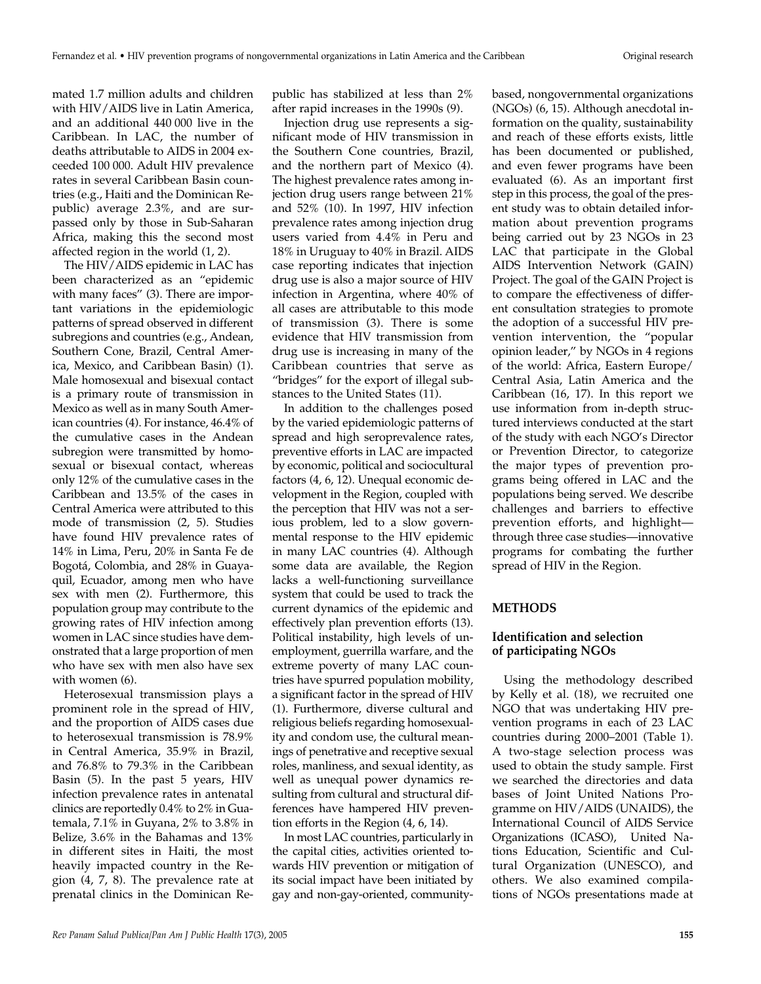mated 1.7 million adults and children with HIV/AIDS live in Latin America, and an additional 440 000 live in the Caribbean. In LAC, the number of deaths attributable to AIDS in 2004 exceeded 100 000. Adult HIV prevalence rates in several Caribbean Basin countries (e.g., Haiti and the Dominican Republic) average 2.3%, and are surpassed only by those in Sub-Saharan Africa, making this the second most affected region in the world (1, 2).

The HIV/AIDS epidemic in LAC has been characterized as an "epidemic with many faces" (3). There are important variations in the epidemiologic patterns of spread observed in different subregions and countries (e.g., Andean, Southern Cone, Brazil, Central America, Mexico, and Caribbean Basin) (1). Male homosexual and bisexual contact is a primary route of transmission in Mexico as well as in many South American countries (4). For instance, 46.4% of the cumulative cases in the Andean subregion were transmitted by homosexual or bisexual contact, whereas only 12% of the cumulative cases in the Caribbean and 13.5% of the cases in Central America were attributed to this mode of transmission (2, 5). Studies have found HIV prevalence rates of 14% in Lima, Peru, 20% in Santa Fe de Bogotá, Colombia, and 28% in Guayaquil, Ecuador, among men who have sex with men (2). Furthermore, this population group may contribute to the growing rates of HIV infection among women in LAC since studies have demonstrated that a large proportion of men who have sex with men also have sex with women (6).

Heterosexual transmission plays a prominent role in the spread of HIV, and the proportion of AIDS cases due to heterosexual transmission is 78.9% in Central America, 35.9% in Brazil, and 76.8% to 79.3% in the Caribbean Basin (5). In the past 5 years, HIV infection prevalence rates in antenatal clinics are reportedly 0.4% to 2% in Guatemala, 7.1% in Guyana, 2% to 3.8% in Belize, 3.6% in the Bahamas and 13% in different sites in Haiti, the most heavily impacted country in the Region (4, 7, 8). The prevalence rate at prenatal clinics in the Dominican Re-

public has stabilized at less than 2% after rapid increases in the 1990s (9).

Injection drug use represents a significant mode of HIV transmission in the Southern Cone countries, Brazil, and the northern part of Mexico (4). The highest prevalence rates among injection drug users range between 21% and 52% (10). In 1997, HIV infection prevalence rates among injection drug users varied from 4.4% in Peru and 18% in Uruguay to 40% in Brazil. AIDS case reporting indicates that injection drug use is also a major source of HIV infection in Argentina, where 40% of all cases are attributable to this mode of transmission (3). There is some evidence that HIV transmission from drug use is increasing in many of the Caribbean countries that serve as "bridges" for the export of illegal substances to the United States (11).

In addition to the challenges posed by the varied epidemiologic patterns of spread and high seroprevalence rates, preventive efforts in LAC are impacted by economic, political and sociocultural factors (4, 6, 12). Unequal economic development in the Region, coupled with the perception that HIV was not a serious problem, led to a slow governmental response to the HIV epidemic in many LAC countries (4). Although some data are available, the Region lacks a well-functioning surveillance system that could be used to track the current dynamics of the epidemic and effectively plan prevention efforts (13). Political instability, high levels of unemployment, guerrilla warfare, and the extreme poverty of many LAC countries have spurred population mobility, a significant factor in the spread of HIV (1). Furthermore, diverse cultural and religious beliefs regarding homosexuality and condom use, the cultural meanings of penetrative and receptive sexual roles, manliness, and sexual identity, as well as unequal power dynamics resulting from cultural and structural differences have hampered HIV prevention efforts in the Region (4, 6, 14).

In most LAC countries, particularly in the capital cities, activities oriented towards HIV prevention or mitigation of its social impact have been initiated by gay and non-gay-oriented, community-

based, nongovernmental organizations (NGOs) (6, 15). Although anecdotal information on the quality, sustainability and reach of these efforts exists, little has been documented or published, and even fewer programs have been evaluated (6). As an important first step in this process, the goal of the present study was to obtain detailed information about prevention programs being carried out by 23 NGOs in 23 LAC that participate in the Global AIDS Intervention Network (GAIN) Project. The goal of the GAIN Project is to compare the effectiveness of different consultation strategies to promote the adoption of a successful HIV prevention intervention, the "popular opinion leader," by NGOs in 4 regions of the world: Africa, Eastern Europe/ Central Asia, Latin America and the Caribbean (16, 17). In this report we use information from in-depth structured interviews conducted at the start of the study with each NGO's Director or Prevention Director, to categorize the major types of prevention programs being offered in LAC and the populations being served. We describe challenges and barriers to effective prevention efforts, and highlight through three case studies—innovative programs for combating the further spread of HIV in the Region.

## **METHODS**

## **Identification and selection of participating NGOs**

Using the methodology described by Kelly et al. (18), we recruited one NGO that was undertaking HIV prevention programs in each of 23 LAC countries during 2000–2001 (Table 1). A two-stage selection process was used to obtain the study sample. First we searched the directories and data bases of Joint United Nations Programme on HIV/AIDS (UNAIDS), the International Council of AIDS Service Organizations (ICASO), United Nations Education, Scientific and Cultural Organization (UNESCO), and others. We also examined compilations of NGOs presentations made at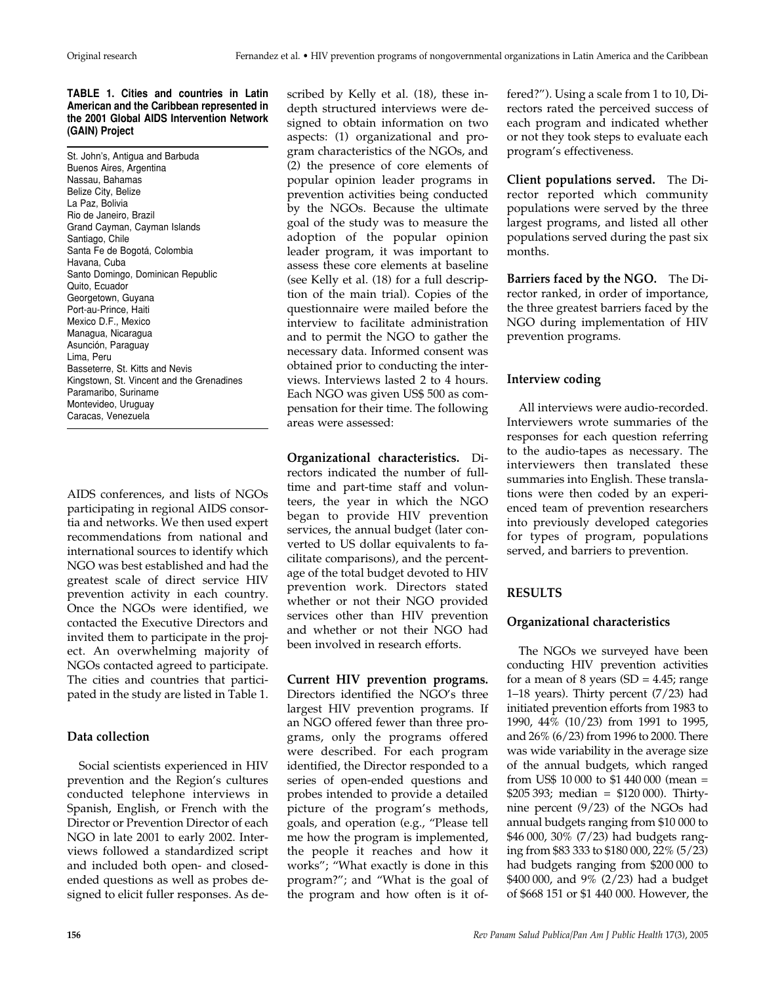#### **TABLE 1. Cities and countries in Latin American and the Caribbean represented in the 2001 Global AIDS Intervention Network (GAIN) Project**

St. John's, Antigua and Barbuda Buenos Aires, Argentina Nassau, Bahamas Belize City, Belize La Paz, Bolivia Rio de Janeiro, Brazil Grand Cayman, Cayman Islands Santiago, Chile Santa Fe de Bogotá, Colombia Havana, Cuba Santo Domingo, Dominican Republic Quito, Ecuador Georgetown, Guyana Port-au-Prince, Haiti Mexico D.F., Mexico Managua, Nicaragua Asunción, Paraguay Lima, Peru Basseterre, St. Kitts and Nevis Kingstown, St. Vincent and the Grenadines Paramaribo, Suriname Montevideo, Uruguay Caracas, Venezuela

AIDS conferences, and lists of NGOs participating in regional AIDS consortia and networks. We then used expert recommendations from national and international sources to identify which NGO was best established and had the greatest scale of direct service HIV prevention activity in each country. Once the NGOs were identified, we contacted the Executive Directors and invited them to participate in the project. An overwhelming majority of NGOs contacted agreed to participate. The cities and countries that participated in the study are listed in Table 1.

# **Data collection**

Social scientists experienced in HIV prevention and the Region's cultures conducted telephone interviews in Spanish, English, or French with the Director or Prevention Director of each NGO in late 2001 to early 2002. Interviews followed a standardized script and included both open- and closedended questions as well as probes designed to elicit fuller responses. As described by Kelly et al. (18), these indepth structured interviews were designed to obtain information on two aspects: (1) organizational and program characteristics of the NGOs, and (2) the presence of core elements of popular opinion leader programs in prevention activities being conducted by the NGOs. Because the ultimate goal of the study was to measure the adoption of the popular opinion leader program, it was important to assess these core elements at baseline (see Kelly et al. (18) for a full description of the main trial). Copies of the questionnaire were mailed before the interview to facilitate administration and to permit the NGO to gather the necessary data. Informed consent was obtained prior to conducting the interviews. Interviews lasted 2 to 4 hours. Each NGO was given US\$ 500 as compensation for their time. The following areas were assessed:

**Organizational characteristics.** Directors indicated the number of fulltime and part-time staff and volunteers, the year in which the NGO began to provide HIV prevention services, the annual budget (later converted to US dollar equivalents to facilitate comparisons), and the percentage of the total budget devoted to HIV prevention work. Directors stated whether or not their NGO provided services other than HIV prevention and whether or not their NGO had been involved in research efforts.

**Current HIV prevention programs.** Directors identified the NGO's three largest HIV prevention programs. If an NGO offered fewer than three programs, only the programs offered were described. For each program identified, the Director responded to a series of open-ended questions and probes intended to provide a detailed picture of the program's methods, goals, and operation (e.g., "Please tell me how the program is implemented, the people it reaches and how it works"; "What exactly is done in this program?"; and "What is the goal of the program and how often is it offered?"). Using a scale from 1 to 10, Directors rated the perceived success of each program and indicated whether or not they took steps to evaluate each program's effectiveness.

**Client populations served.** The Director reported which community populations were served by the three largest programs, and listed all other populations served during the past six months.

**Barriers faced by the NGO.** The Director ranked, in order of importance, the three greatest barriers faced by the NGO during implementation of HIV prevention programs.

# **Interview coding**

All interviews were audio-recorded. Interviewers wrote summaries of the responses for each question referring to the audio-tapes as necessary. The interviewers then translated these summaries into English. These translations were then coded by an experienced team of prevention researchers into previously developed categories for types of program, populations served, and barriers to prevention.

# **RESULTS**

# **Organizational characteristics**

The NGOs we surveyed have been conducting HIV prevention activities for a mean of 8 years  $(SD = 4.45;$  range 1–18 years). Thirty percent (7/23) had initiated prevention efforts from 1983 to 1990, 44% (10/23) from 1991 to 1995, and 26% (6/23) from 1996 to 2000. There was wide variability in the average size of the annual budgets, which ranged from US\$ 10 000 to \$1 440 000 (mean = \$205 393; median = \$120 000). Thirtynine percent (9/23) of the NGOs had annual budgets ranging from \$10 000 to \$46 000, 30% (7/23) had budgets ranging from \$83 333 to \$180 000, 22% (5/23) had budgets ranging from \$200 000 to \$400 000, and 9% (2/23) had a budget of \$668 151 or \$1 440 000. However, the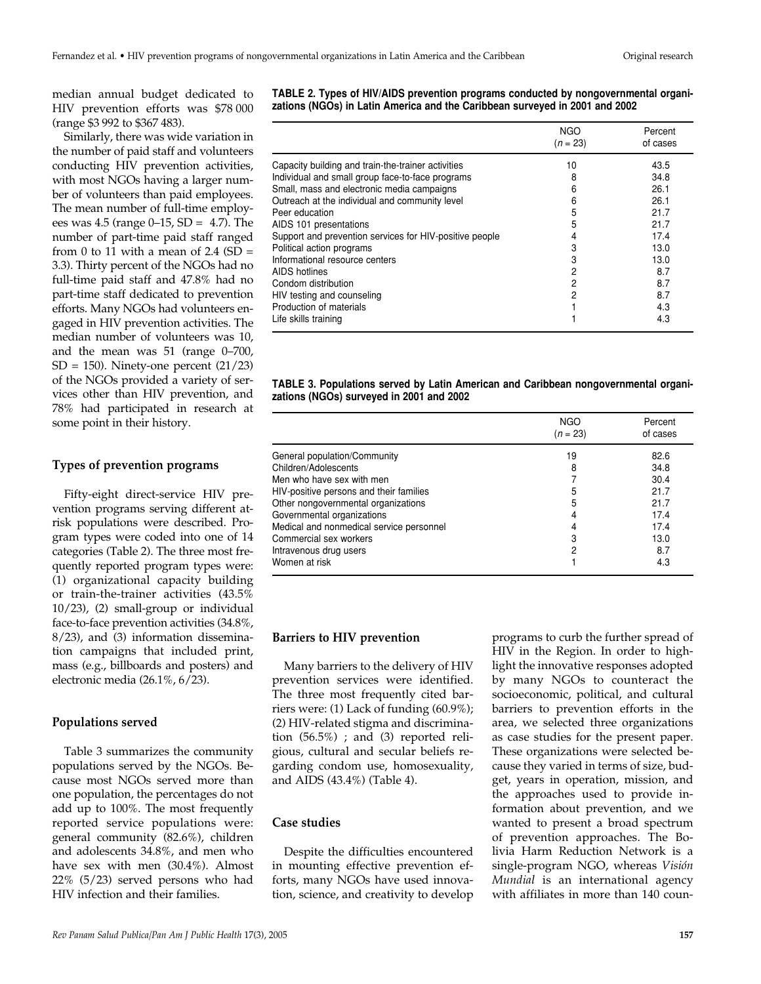median annual budget dedicated to HIV prevention efforts was \$78 000 (range \$3 992 to \$367 483).

Similarly, there was wide variation in the number of paid staff and volunteers conducting HIV prevention activities, with most NGOs having a larger number of volunteers than paid employees. The mean number of full-time employees was 4.5 (range 0–15, SD = 4.7). The number of part-time paid staff ranged from 0 to 11 with a mean of 2.4  $(SD =$ 3.3). Thirty percent of the NGOs had no full-time paid staff and 47.8% had no part-time staff dedicated to prevention efforts. Many NGOs had volunteers engaged in HIV prevention activities. The median number of volunteers was 10, and the mean was 51 (range 0–700,  $SD = 150$ ). Ninety-one percent  $(21/23)$ of the NGOs provided a variety of services other than HIV prevention, and 78% had participated in research at some point in their history.

## **Types of prevention programs**

Fifty-eight direct-service HIV prevention programs serving different atrisk populations were described. Program types were coded into one of 14 categories (Table 2). The three most frequently reported program types were: (1) organizational capacity building or train-the-trainer activities (43.5% 10/23), (2) small-group or individual face-to-face prevention activities (34.8%, 8/23), and (3) information dissemination campaigns that included print, mass (e.g., billboards and posters) and electronic media (26.1%, 6/23).

## **Populations served**

Table 3 summarizes the community populations served by the NGOs. Because most NGOs served more than one population, the percentages do not add up to 100%. The most frequently reported service populations were: general community (82.6%), children and adolescents 34.8%, and men who have sex with men (30.4%). Almost 22% (5/23) served persons who had HIV infection and their families.

**TABLE 2. Types of HIV/AIDS prevention programs conducted by nongovernmental organizations (NGOs) in Latin America and the Caribbean surveyed in 2001 and 2002** 

|                                                         | NGO<br>$(n = 23)$ | Percent<br>of cases |
|---------------------------------------------------------|-------------------|---------------------|
| Capacity building and train-the-trainer activities      | 10                | 43.5                |
| Individual and small group face-to-face programs        | 8                 | 34.8                |
| Small, mass and electronic media campaigns              | 6                 | 26.1                |
| Outreach at the individual and community level          | 6                 | 26.1                |
| Peer education                                          | 5                 | 21.7                |
| AIDS 101 presentations                                  | 5                 | 21.7                |
| Support and prevention services for HIV-positive people |                   | 17.4                |
| Political action programs                               | 3                 | 13.0                |
| Informational resource centers                          | 3                 | 13.0                |
| AIDS hotlines                                           | 2                 | 8.7                 |
| Condom distribution                                     | 2                 | 8.7                 |
| HIV testing and counseling                              | 2                 | 8.7                 |
| Production of materials                                 |                   | 4.3                 |
| Life skills training                                    |                   | 4.3                 |

#### **TABLE 3. Populations served by Latin American and Caribbean nongovernmental organizations (NGOs) surveyed in 2001 and 2002**

|                                          | <b>NGO</b><br>$(n = 23)$ | Percent<br>of cases |
|------------------------------------------|--------------------------|---------------------|
| General population/Community             | 19                       | 82.6                |
| Children/Adolescents                     | 8                        | 34.8                |
| Men who have sex with men                |                          | 30.4                |
| HIV-positive persons and their families  | 5                        | 21.7                |
| Other nongovernmental organizations      | 5                        | 21.7                |
| Governmental organizations               | 4                        | 17.4                |
| Medical and nonmedical service personnel |                          | 17.4                |
| Commercial sex workers                   | 3                        | 13.0                |
| Intravenous drug users                   | 2                        | 8.7                 |
| Women at risk                            |                          | 4.3                 |

#### **Barriers to HIV prevention**

Many barriers to the delivery of HIV prevention services were identified. The three most frequently cited barriers were: (1) Lack of funding (60.9%); (2) HIV-related stigma and discrimination  $(56.5\%)$ ; and  $(3)$  reported religious, cultural and secular beliefs regarding condom use, homosexuality, and AIDS (43.4%) (Table 4).

#### **Case studies**

Despite the difficulties encountered in mounting effective prevention efforts, many NGOs have used innovation, science, and creativity to develop

programs to curb the further spread of HIV in the Region. In order to highlight the innovative responses adopted by many NGOs to counteract the socioeconomic, political, and cultural barriers to prevention efforts in the area, we selected three organizations as case studies for the present paper. These organizations were selected because they varied in terms of size, budget, years in operation, mission, and the approaches used to provide information about prevention, and we wanted to present a broad spectrum of prevention approaches. The Bolivia Harm Reduction Network is a single-program NGO, whereas *Visión Mundial* is an international agency with affiliates in more than 140 coun-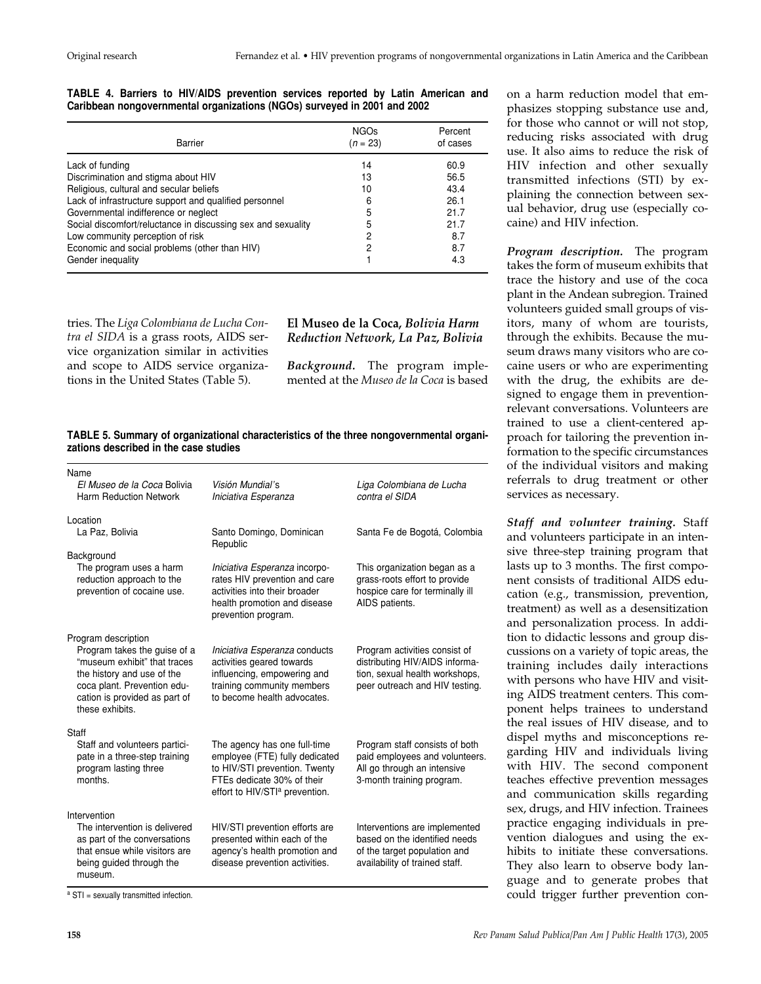on a harm reduction model that emphasizes stopping substance use and, for those who cannot or will not stop, reducing risks associated with drug use. It also aims to reduce the risk of HIV infection and other sexually transmitted infections (STI) by explaining the connection between sexual behavior, drug use (especially co-

*Program description.* The program takes the form of museum exhibits that trace the history and use of the coca plant in the Andean subregion. Trained volunteers guided small groups of visitors, many of whom are tourists, through the exhibits. Because the museum draws many visitors who are cocaine users or who are experimenting with the drug, the exhibits are designed to engage them in preventionrelevant conversations. Volunteers are trained to use a client-centered approach for tailoring the prevention information to the specific circumstances of the individual visitors and making referrals to drug treatment or other

caine) and HIV infection.

services as necessary.

*Staff and volunteer training.* Staff and volunteers participate in an intensive three-step training program that lasts up to 3 months. The first component consists of traditional AIDS education (e.g., transmission, prevention, treatment) as well as a desensitization and personalization process. In addition to didactic lessons and group discussions on a variety of topic areas, the training includes daily interactions with persons who have HIV and visiting AIDS treatment centers. This component helps trainees to understand the real issues of HIV disease, and to dispel myths and misconceptions regarding HIV and individuals living with HIV. The second component teaches effective prevention messages and communication skills regarding sex, drugs, and HIV infection. Trainees practice engaging individuals in prevention dialogues and using the exhibits to initiate these conversations. They also learn to observe body language and to generate probes that could trigger further prevention con-

### **TABLE 4. Barriers to HIV/AIDS prevention services reported by Latin American and Caribbean nongovernmental organizations (NGOs) surveyed in 2001 and 2002**

| Barrier                                                      | <b>NGOs</b><br>$(n = 23)$ | Percent<br>of cases |
|--------------------------------------------------------------|---------------------------|---------------------|
| Lack of funding                                              | 14                        | 60.9                |
| Discrimination and stigma about HIV                          | 13                        | 56.5                |
| Religious, cultural and secular beliefs                      | 10                        | 43.4                |
| Lack of infrastructure support and qualified personnel       | 6                         | 26.1                |
| Governmental indifference or neglect                         | 5                         | 21.7                |
| Social discomfort/reluctance in discussing sex and sexuality | 5                         | 21.7                |
| Low community perception of risk                             | 2                         | 8.7                 |
| Economic and social problems (other than HIV)                | 2                         | 8.7                 |
| Gender inequality                                            |                           | 4.3                 |

tries. The *Liga Colombiana de Lucha Contra el SIDA* is a grass roots, AIDS service organization similar in activities and scope to AIDS service organizations in the United States (Table 5).

# **El Museo de la Coca,** *Bolivia Harm Reduction Network, La Paz, Bolivia*

*Background.* The program implemented at the *Museo de la Coca* is based

## **TABLE 5. Summary of organizational characteristics of the three nongovernmental organizations described in the case studies**

| Name<br>El Museo de la Coca Bolivia<br><b>Harm Reduction Network</b>                                                                                                                                 | Visión Mundial's<br>Iniciativa Esperanza                                                                                                                                    | Liga Colombiana de Lucha<br>contra el SIDA                                                                                          |
|------------------------------------------------------------------------------------------------------------------------------------------------------------------------------------------------------|-----------------------------------------------------------------------------------------------------------------------------------------------------------------------------|-------------------------------------------------------------------------------------------------------------------------------------|
| Location<br>La Paz, Bolivia<br>Background                                                                                                                                                            | Santo Domingo, Dominican<br>Republic                                                                                                                                        | Santa Fe de Bogotá, Colombia                                                                                                        |
| The program uses a harm<br>reduction approach to the<br>prevention of cocaine use.                                                                                                                   | Iniciativa Esperanza incorpo-<br>rates HIV prevention and care<br>activities into their broader<br>health promotion and disease<br>prevention program.                      | This organization began as a<br>grass-roots effort to provide<br>hospice care for terminally ill<br>AIDS patients.                  |
| Program description<br>Program takes the guise of a<br>"museum exhibit" that traces<br>the history and use of the<br>coca plant. Prevention edu-<br>cation is provided as part of<br>these exhibits. | Iniciativa Esperanza conducts<br>activities geared towards<br>influencing, empowering and<br>training community members<br>to become health advocates.                      | Program activities consist of<br>distributing HIV/AIDS informa-<br>tion, sexual health workshops,<br>peer outreach and HIV testing. |
| Staff<br>Staff and volunteers partici-<br>pate in a three-step training<br>program lasting three<br>months.                                                                                          | The agency has one full-time<br>employee (FTE) fully dedicated<br>to HIV/STI prevention. Twenty<br>FTEs dedicate 30% of their<br>effort to HIV/STI <sup>a</sup> prevention. | Program staff consists of both<br>paid employees and volunteers.<br>All go through an intensive<br>3-month training program.        |
| Intervention<br>The intervention is delivered<br>as part of the conversations<br>that ensue while visitors are<br>being guided through the<br>museum.                                                | HIV/STI prevention efforts are<br>presented within each of the<br>agency's health promotion and<br>disease prevention activities.                                           | Interventions are implemented<br>based on the identified needs<br>of the target population and<br>availability of trained staff.    |

a STI = sexually transmitted infection.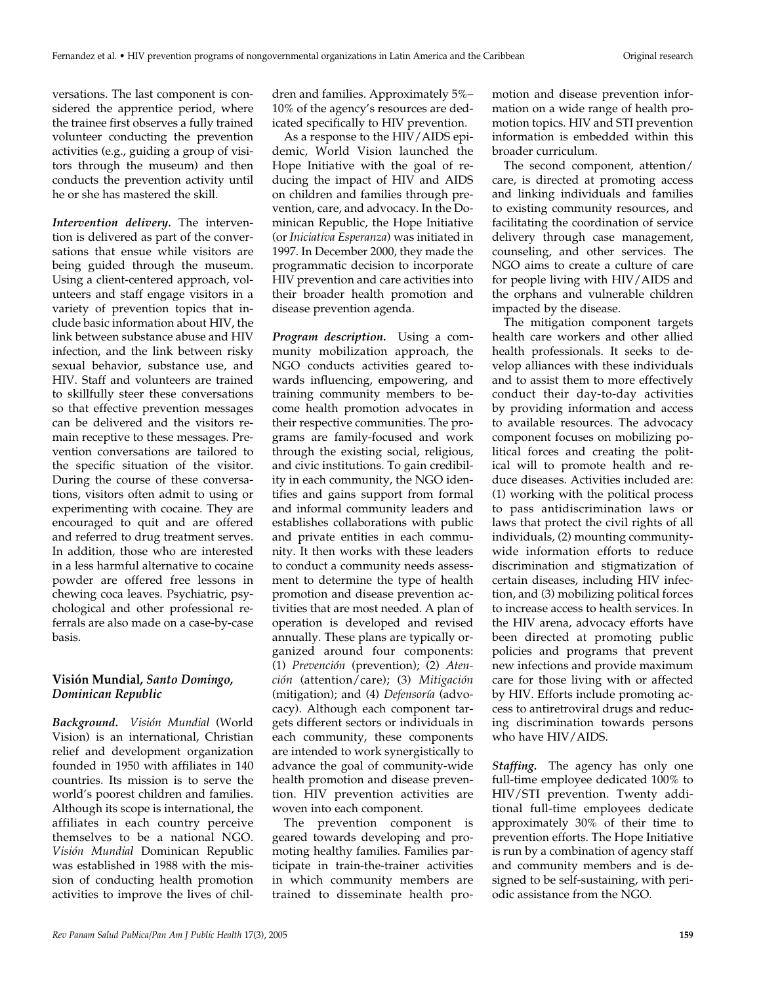versations. The last component is considered the apprentice period, where the trainee first observes a fully trained volunteer conducting the prevention activities (e.g., guiding a group of visitors through the museum) and then conducts the prevention activity until he or she has mastered the skill.

*Intervention delivery.* The intervention is delivered as part of the conversations that ensue while visitors are being guided through the museum. Using a client-centered approach, volunteers and staff engage visitors in a variety of prevention topics that include basic information about HIV, the link between substance abuse and HIV infection, and the link between risky sexual behavior, substance use, and HIV. Staff and volunteers are trained to skillfully steer these conversations so that effective prevention messages can be delivered and the visitors remain receptive to these messages. Prevention conversations are tailored to the specific situation of the visitor. During the course of these conversations, visitors often admit to using or experimenting with cocaine. They are encouraged to quit and are offered and referred to drug treatment serves. In addition, those who are interested in a less harmful alternative to cocaine powder are offered free lessons in chewing coca leaves. Psychiatric, psychological and other professional referrals are also made on a case-by-case basis.

## **Visión Mundial,** *Santo Domingo, Dominican Republic*

*Background. Visión Mundial* (World Vision) is an international, Christian relief and development organization founded in 1950 with affiliates in 140 countries. Its mission is to serve the world's poorest children and families. Although its scope is international, the affiliates in each country perceive themselves to be a national NGO. *Visión Mundial* Dominican Republic was established in 1988 with the mission of conducting health promotion activities to improve the lives of chil-

dren and families. Approximately 5%– 10% of the agency's resources are dedicated specifically to HIV prevention.

As a response to the HIV/AIDS epidemic, World Vision launched the Hope Initiative with the goal of reducing the impact of HIV and AIDS on children and families through prevention, care, and advocacy. In the Dominican Republic, the Hope Initiative (or *Iniciativa Esperanza*) was initiated in 1997. In December 2000, they made the programmatic decision to incorporate HIV prevention and care activities into their broader health promotion and disease prevention agenda.

*Program description.* Using a community mobilization approach, the NGO conducts activities geared towards influencing, empowering, and training community members to become health promotion advocates in their respective communities. The programs are family-focused and work through the existing social, religious, and civic institutions. To gain credibility in each community, the NGO identifies and gains support from formal and informal community leaders and establishes collaborations with public and private entities in each community. It then works with these leaders to conduct a community needs assessment to determine the type of health promotion and disease prevention activities that are most needed. A plan of operation is developed and revised annually. These plans are typically organized around four components: (1) *Prevención* (prevention); (2) *Atención* (attention/care); (3) *Mitigación* (mitigation); and (4) *Defensoría* (advocacy). Although each component targets different sectors or individuals in each community, these components are intended to work synergistically to advance the goal of community-wide health promotion and disease prevention. HIV prevention activities are woven into each component.

The prevention component is geared towards developing and promoting healthy families. Families participate in train-the-trainer activities in which community members are trained to disseminate health promotion and disease prevention information on a wide range of health promotion topics. HIV and STI prevention information is embedded within this broader curriculum.

The second component, attention/ care, is directed at promoting access and linking individuals and families to existing community resources, and facilitating the coordination of service delivery through case management, counseling, and other services. The NGO aims to create a culture of care for people living with HIV/AIDS and the orphans and vulnerable children impacted by the disease.

The mitigation component targets health care workers and other allied health professionals. It seeks to develop alliances with these individuals and to assist them to more effectively conduct their day-to-day activities by providing information and access to available resources. The advocacy component focuses on mobilizing political forces and creating the political will to promote health and reduce diseases. Activities included are: (1) working with the political process to pass antidiscrimination laws or laws that protect the civil rights of all individuals, (2) mounting communitywide information efforts to reduce discrimination and stigmatization of certain diseases, including HIV infection, and (3) mobilizing political forces to increase access to health services. In the HIV arena, advocacy efforts have been directed at promoting public policies and programs that prevent new infections and provide maximum care for those living with or affected by HIV. Efforts include promoting access to antiretroviral drugs and reducing discrimination towards persons who have HIV/AIDS.

*Staffing.* The agency has only one full-time employee dedicated 100% to HIV/STI prevention. Twenty additional full-time employees dedicate approximately 30% of their time to prevention efforts. The Hope Initiative is run by a combination of agency staff and community members and is designed to be self-sustaining, with periodic assistance from the NGO.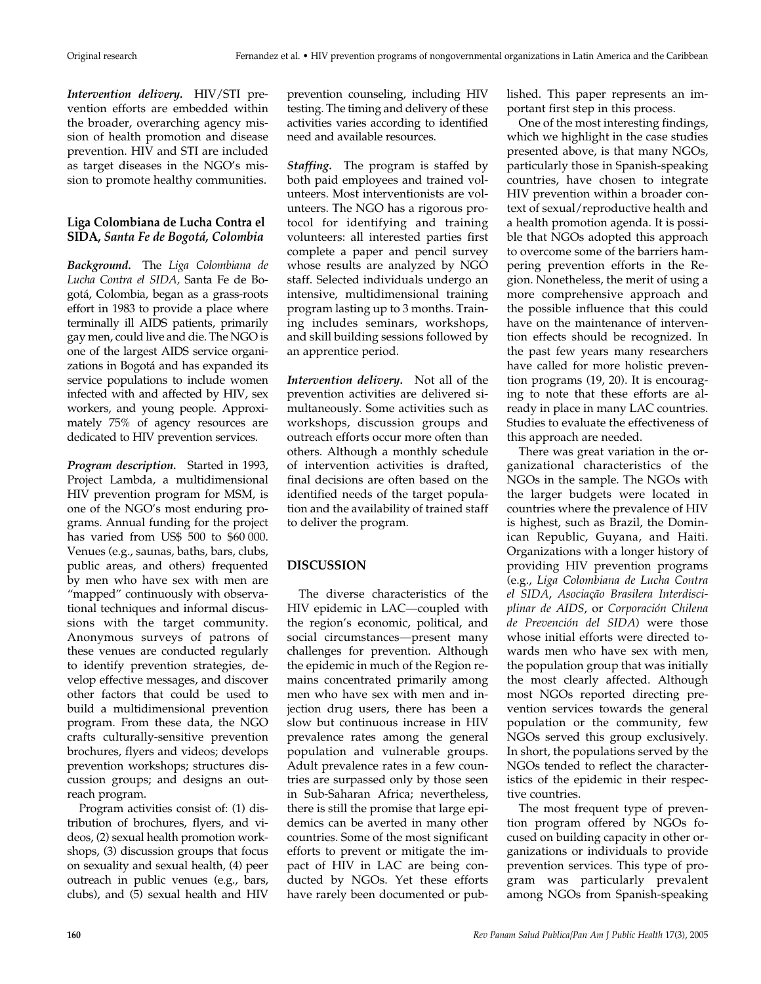*Intervention delivery.* HIV/STI prevention efforts are embedded within the broader, overarching agency mission of health promotion and disease prevention. HIV and STI are included as target diseases in the NGO's mission to promote healthy communities.

## **Liga Colombiana de Lucha Contra el SIDA,** *Santa Fe de Bogotá, Colombia*

*Background.* The *Liga Colombiana de Lucha Contra el SIDA,* Santa Fe de Bogotá, Colombia, began as a grass-roots effort in 1983 to provide a place where terminally ill AIDS patients, primarily gay men, could live and die. The NGO is one of the largest AIDS service organizations in Bogotá and has expanded its service populations to include women infected with and affected by HIV, sex workers, and young people. Approximately 75% of agency resources are dedicated to HIV prevention services.

*Program description.* Started in 1993, Project Lambda, a multidimensional HIV prevention program for MSM, is one of the NGO's most enduring programs. Annual funding for the project has varied from US\$ 500 to \$60 000. Venues (e.g., saunas, baths, bars, clubs, public areas, and others) frequented by men who have sex with men are "mapped" continuously with observational techniques and informal discussions with the target community. Anonymous surveys of patrons of these venues are conducted regularly to identify prevention strategies, develop effective messages, and discover other factors that could be used to build a multidimensional prevention program. From these data, the NGO crafts culturally-sensitive prevention brochures, flyers and videos; develops prevention workshops; structures discussion groups; and designs an outreach program.

Program activities consist of: (1) distribution of brochures, flyers, and videos, (2) sexual health promotion workshops, (3) discussion groups that focus on sexuality and sexual health, (4) peer outreach in public venues (e.g., bars, clubs), and (5) sexual health and HIV

prevention counseling, including HIV testing. The timing and delivery of these activities varies according to identified need and available resources.

*Staffing.* The program is staffed by both paid employees and trained volunteers. Most interventionists are volunteers. The NGO has a rigorous protocol for identifying and training volunteers: all interested parties first complete a paper and pencil survey whose results are analyzed by NGO staff. Selected individuals undergo an intensive, multidimensional training program lasting up to 3 months. Training includes seminars, workshops, and skill building sessions followed by an apprentice period.

*Intervention delivery.* Not all of the prevention activities are delivered simultaneously. Some activities such as workshops, discussion groups and outreach efforts occur more often than others. Although a monthly schedule of intervention activities is drafted, final decisions are often based on the identified needs of the target population and the availability of trained staff to deliver the program.

# **DISCUSSION**

The diverse characteristics of the HIV epidemic in LAC—coupled with the region's economic, political, and social circumstances—present many challenges for prevention. Although the epidemic in much of the Region remains concentrated primarily among men who have sex with men and injection drug users, there has been a slow but continuous increase in HIV prevalence rates among the general population and vulnerable groups. Adult prevalence rates in a few countries are surpassed only by those seen in Sub-Saharan Africa; nevertheless, there is still the promise that large epidemics can be averted in many other countries. Some of the most significant efforts to prevent or mitigate the impact of HIV in LAC are being conducted by NGOs. Yet these efforts have rarely been documented or published. This paper represents an important first step in this process.

One of the most interesting findings, which we highlight in the case studies presented above, is that many NGOs, particularly those in Spanish-speaking countries, have chosen to integrate HIV prevention within a broader context of sexual/reproductive health and a health promotion agenda. It is possible that NGOs adopted this approach to overcome some of the barriers hampering prevention efforts in the Region. Nonetheless, the merit of using a more comprehensive approach and the possible influence that this could have on the maintenance of intervention effects should be recognized. In the past few years many researchers have called for more holistic prevention programs (19, 20). It is encouraging to note that these efforts are already in place in many LAC countries. Studies to evaluate the effectiveness of this approach are needed.

There was great variation in the organizational characteristics of the NGOs in the sample. The NGOs with the larger budgets were located in countries where the prevalence of HIV is highest, such as Brazil, the Dominican Republic, Guyana, and Haiti. Organizations with a longer history of providing HIV prevention programs (e.g., *Liga Colombiana de Lucha Contra el SIDA*, *Asociação Brasilera Interdisciplinar de AIDS*, or *Corporación Chilena de Prevención del SIDA*) were those whose initial efforts were directed towards men who have sex with men, the population group that was initially the most clearly affected. Although most NGOs reported directing prevention services towards the general population or the community, few NGOs served this group exclusively. In short, the populations served by the NGOs tended to reflect the characteristics of the epidemic in their respective countries.

The most frequent type of prevention program offered by NGOs focused on building capacity in other organizations or individuals to provide prevention services. This type of program was particularly prevalent among NGOs from Spanish-speaking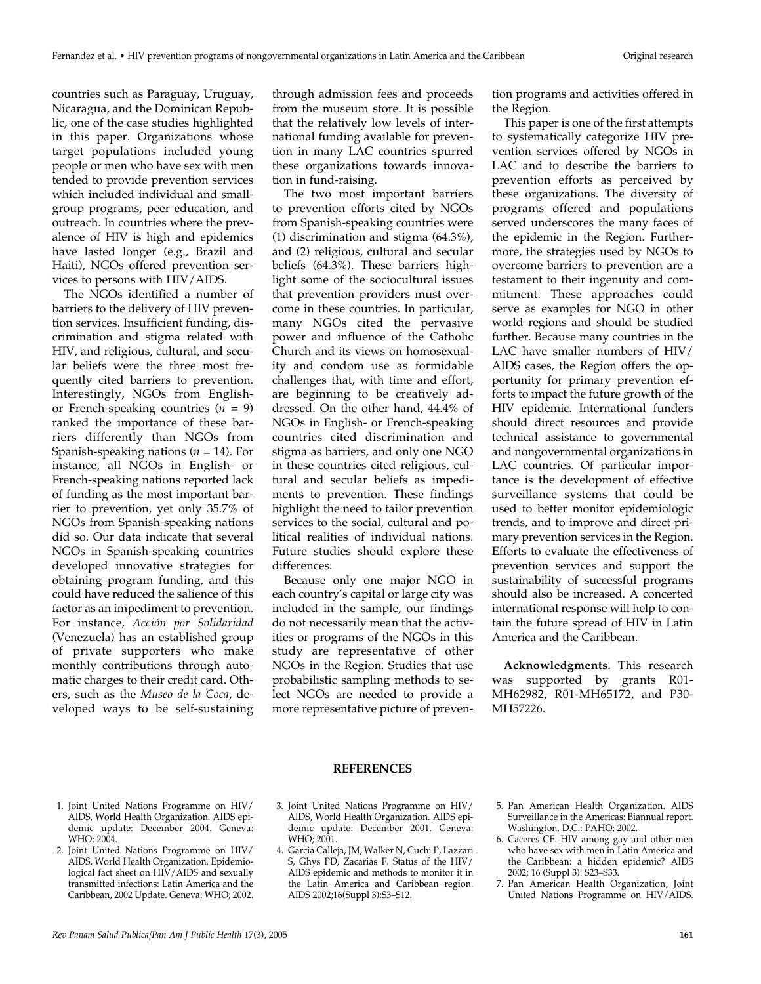countries such as Paraguay, Uruguay, Nicaragua, and the Dominican Republic, one of the case studies highlighted in this paper. Organizations whose target populations included young people or men who have sex with men tended to provide prevention services which included individual and smallgroup programs, peer education, and outreach. In countries where the prevalence of HIV is high and epidemics have lasted longer (e.g., Brazil and Haiti), NGOs offered prevention services to persons with HIV/AIDS.

The NGOs identified a number of barriers to the delivery of HIV prevention services. Insufficient funding, discrimination and stigma related with HIV, and religious, cultural, and secular beliefs were the three most frequently cited barriers to prevention. Interestingly, NGOs from Englishor French-speaking countries  $(n = 9)$ ranked the importance of these barriers differently than NGOs from Spanish-speaking nations (*n* = 14). For instance, all NGOs in English- or French-speaking nations reported lack of funding as the most important barrier to prevention, yet only 35.7% of NGOs from Spanish-speaking nations did so. Our data indicate that several NGOs in Spanish-speaking countries developed innovative strategies for obtaining program funding, and this could have reduced the salience of this factor as an impediment to prevention. For instance, *Acción por Solidaridad* (Venezuela) has an established group of private supporters who make monthly contributions through automatic charges to their credit card. Others, such as the *Museo de la Coca*, developed ways to be self-sustaining through admission fees and proceeds from the museum store. It is possible that the relatively low levels of international funding available for prevention in many LAC countries spurred these organizations towards innovation in fund-raising.

The two most important barriers to prevention efforts cited by NGOs from Spanish-speaking countries were (1) discrimination and stigma (64.3%), and (2) religious, cultural and secular beliefs (64.3%). These barriers highlight some of the sociocultural issues that prevention providers must overcome in these countries. In particular, many NGOs cited the pervasive power and influence of the Catholic Church and its views on homosexuality and condom use as formidable challenges that, with time and effort, are beginning to be creatively addressed. On the other hand, 44.4% of NGOs in English- or French-speaking countries cited discrimination and stigma as barriers, and only one NGO in these countries cited religious, cultural and secular beliefs as impediments to prevention. These findings highlight the need to tailor prevention services to the social, cultural and political realities of individual nations. Future studies should explore these differences.

Because only one major NGO in each country's capital or large city was included in the sample, our findings do not necessarily mean that the activities or programs of the NGOs in this study are representative of other NGOs in the Region. Studies that use probabilistic sampling methods to select NGOs are needed to provide a more representative picture of prevention programs and activities offered in the Region.

This paper is one of the first attempts to systematically categorize HIV prevention services offered by NGOs in LAC and to describe the barriers to prevention efforts as perceived by these organizations. The diversity of programs offered and populations served underscores the many faces of the epidemic in the Region. Furthermore, the strategies used by NGOs to overcome barriers to prevention are a testament to their ingenuity and commitment. These approaches could serve as examples for NGO in other world regions and should be studied further. Because many countries in the LAC have smaller numbers of HIV/ AIDS cases, the Region offers the opportunity for primary prevention efforts to impact the future growth of the HIV epidemic. International funders should direct resources and provide technical assistance to governmental and nongovernmental organizations in LAC countries. Of particular importance is the development of effective surveillance systems that could be used to better monitor epidemiologic trends, and to improve and direct primary prevention services in the Region. Efforts to evaluate the effectiveness of prevention services and support the sustainability of successful programs should also be increased. A concerted international response will help to contain the future spread of HIV in Latin America and the Caribbean.

**Acknowledgments.** This research was supported by grants R01- MH62982, R01-MH65172, and P30- MH57226.

- 1. Joint United Nations Programme on HIV/ AIDS, World Health Organization. AIDS epidemic update: December 2004. Geneva: WHO; 2004.
- 2. Joint United Nations Programme on HIV/ AIDS, World Health Organization. Epidemiological fact sheet on HIV/AIDS and sexually transmitted infections: Latin America and the Caribbean, 2002 Update. Geneva: WHO; 2002.

## **REFERENCES**

- 3. Joint United Nations Programme on HIV/ AIDS, World Health Organization. AIDS epidemic update: December 2001. Geneva: WHO; 2001.
- 4. Garcia Calleja, JM, Walker N, Cuchi P, Lazzari S, Ghys PD, Zacarias F. Status of the HIV/ AIDS epidemic and methods to monitor it in the Latin America and Caribbean region. AIDS 2002;16(Suppl 3):S3–S12.
- 5. Pan American Health Organization. AIDS Surveillance in the Americas: Biannual report. Washington, D.C.: PAHO; 2002.
- 6. Caceres CF. HIV among gay and other men who have sex with men in Latin America and the Caribbean: a hidden epidemic? AIDS 2002; 16 (Suppl 3): S23–S33.
- 7. Pan American Health Organization, Joint United Nations Programme on HIV/AIDS.